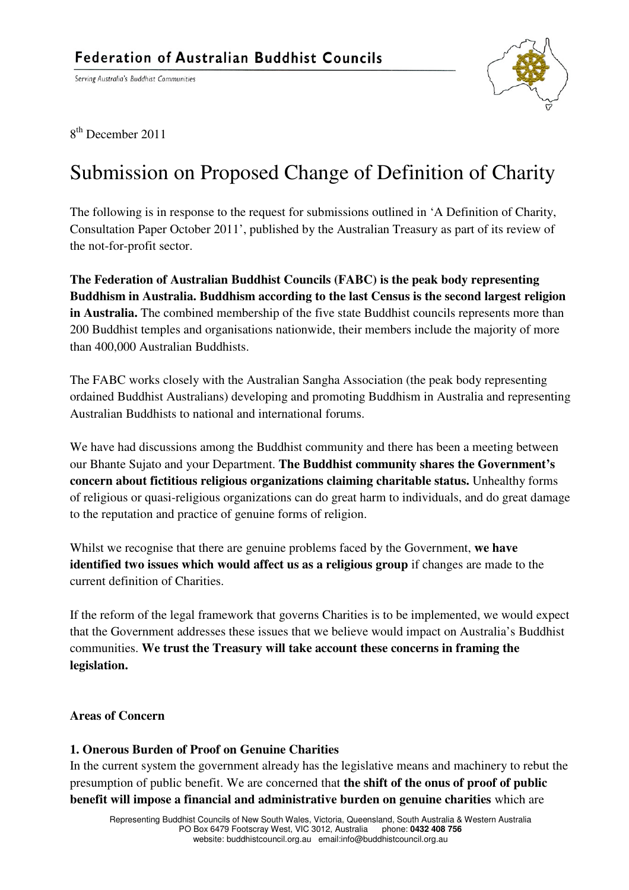Serving Australia's Buddhist Communities



8<sup>th</sup> December 2011

## Submission on Proposed Change of Definition of Charity

 The following is in response to the request for submissions outlined in 'A Definition of Charity, Consultation Paper October 2011', published by the Australian Treasury as part of its review of the not-for-profit sector.

 **The Federation of Australian Buddhist Councils (FABC) is the peak body representing Buddhism in Australia. Buddhism according to the last Census is the second largest religion**  in Australia. The combined membership of the five state Buddhist councils represents more than 200 Buddhist temples and organisations nationwide, their members include the majority of more than 400,000 Australian Buddhists.

 The FABC works closely with the Australian Sangha Association (the peak body representing ordained Buddhist Australians) developing and promoting Buddhism in Australia and representing Australian Buddhists to national and international forums.

 We have had discussions among the Buddhist community and there has been a meeting between our Bhante Sujato and your Department. **The Buddhist community shares the Government's concern about fictitious religious organizations claiming charitable status.** Unhealthy forms of religious or quasi-religious organizations can do great harm to individuals, and do great damage to the reputation and practice of genuine forms of religion.

 Whilst we recognise that there are genuine problems faced by the Government, **we have identified two issues which would affect us as a religious group** if changes are made to the current definition of Charities.

 If the reform of the legal framework that governs Charities is to be implemented, we would expect that the Government addresses these issues that we believe would impact on Australia's Buddhist  communities. **We trust the Treasury will take account these concerns in framing the**  legislation.

# **legislation. Areas of Concern**

#### **1. Onerous Burden of Proof on Genuine Charities**

 In the current system the government already has the legislative means and machinery to rebut the presumption of public benefit. We are concerned that **the shift of the onus of proof of public benefit will impose a financial and administrative burden on genuine charities** which are